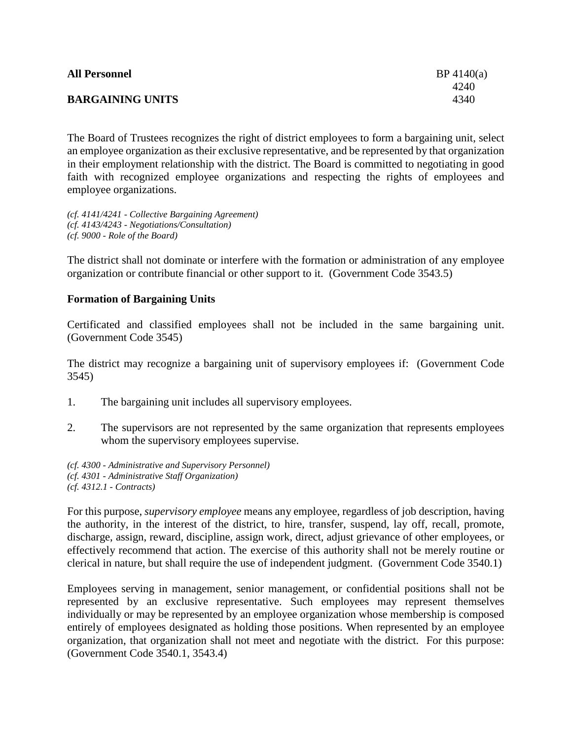| <b>All Personnel</b>    | BP 4140(a) |
|-------------------------|------------|
|                         | 4240       |
| <b>BARGAINING UNITS</b> | 4340       |
|                         |            |

The Board of Trustees recognizes the right of district employees to form a bargaining unit, select an employee organization as their exclusive representative, and be represented by that organization in their employment relationship with the district. The Board is committed to negotiating in good faith with recognized employee organizations and respecting the rights of employees and employee organizations.

*(cf. 4141/4241 - Collective Bargaining Agreement) (cf. 4143/4243 - Negotiations/Consultation) (cf. 9000 - Role of the Board)*

The district shall not dominate or interfere with the formation or administration of any employee organization or contribute financial or other support to it. (Government Code 3543.5)

# **Formation of Bargaining Units**

Certificated and classified employees shall not be included in the same bargaining unit. (Government Code 3545)

The district may recognize a bargaining unit of supervisory employees if: (Government Code 3545)

- 1. The bargaining unit includes all supervisory employees.
- 2. The supervisors are not represented by the same organization that represents employees whom the supervisory employees supervise.

*(cf. 4300 - Administrative and Supervisory Personnel) (cf. 4301 - Administrative Staff Organization) (cf. 4312.1 - Contracts)*

For this purpose, *supervisory employee* means any employee, regardless of job description, having the authority, in the interest of the district, to hire, transfer, suspend, lay off, recall, promote, discharge, assign, reward, discipline, assign work, direct, adjust grievance of other employees, or effectively recommend that action. The exercise of this authority shall not be merely routine or clerical in nature, but shall require the use of independent judgment. (Government Code 3540.1)

Employees serving in management, senior management, or confidential positions shall not be represented by an exclusive representative. Such employees may represent themselves individually or may be represented by an employee organization whose membership is composed entirely of employees designated as holding those positions. When represented by an employee organization, that organization shall not meet and negotiate with the district. For this purpose: (Government Code 3540.1, 3543.4)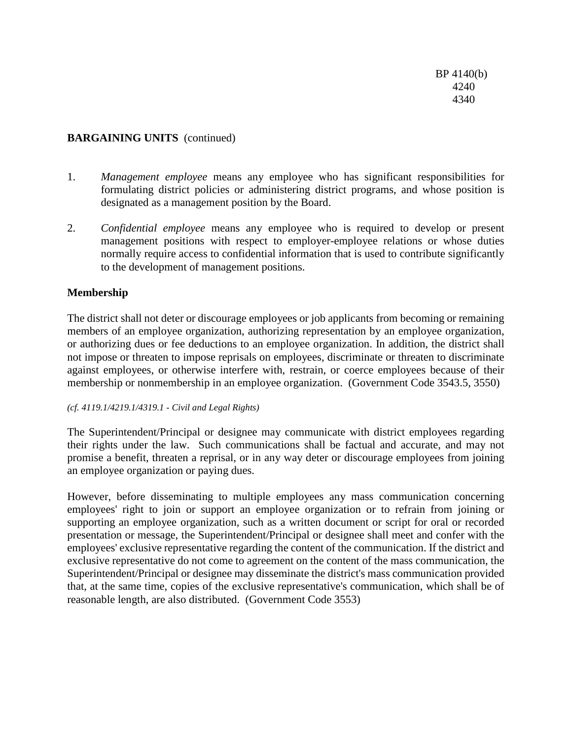# **BARGAINING UNITS** (continued)

- 1. *Management employee* means any employee who has significant responsibilities for formulating district policies or administering district programs, and whose position is designated as a management position by the Board.
- 2. *Confidential employee* means any employee who is required to develop or present management positions with respect to employer-employee relations or whose duties normally require access to confidential information that is used to contribute significantly to the development of management positions.

## **Membership**

The district shall not deter or discourage employees or job applicants from becoming or remaining members of an employee organization, authorizing representation by an employee organization, or authorizing dues or fee deductions to an employee organization. In addition, the district shall not impose or threaten to impose reprisals on employees, discriminate or threaten to discriminate against employees, or otherwise interfere with, restrain, or coerce employees because of their membership or nonmembership in an employee organization. (Government Code 3543.5, 3550)

#### *(cf. 4119.1/4219.1/4319.1 - Civil and Legal Rights)*

The Superintendent/Principal or designee may communicate with district employees regarding their rights under the law. Such communications shall be factual and accurate, and may not promise a benefit, threaten a reprisal, or in any way deter or discourage employees from joining an employee organization or paying dues.

However, before disseminating to multiple employees any mass communication concerning employees' right to join or support an employee organization or to refrain from joining or supporting an employee organization, such as a written document or script for oral or recorded presentation or message, the Superintendent/Principal or designee shall meet and confer with the employees' exclusive representative regarding the content of the communication. If the district and exclusive representative do not come to agreement on the content of the mass communication, the Superintendent/Principal or designee may disseminate the district's mass communication provided that, at the same time, copies of the exclusive representative's communication, which shall be of reasonable length, are also distributed. (Government Code 3553)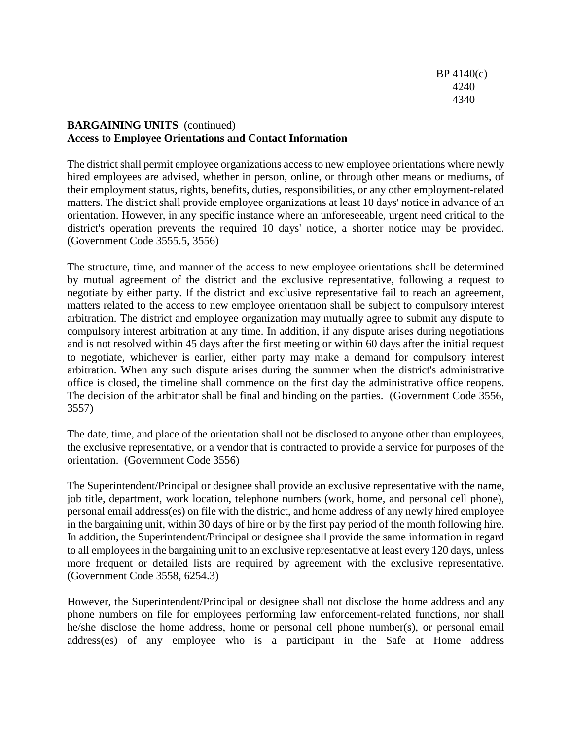# **BARGAINING UNITS** (continued) **Access to Employee Orientations and Contact Information**

The district shall permit employee organizations access to new employee orientations where newly hired employees are advised, whether in person, online, or through other means or mediums, of their employment status, rights, benefits, duties, responsibilities, or any other employment-related matters. The district shall provide employee organizations at least 10 days' notice in advance of an orientation. However, in any specific instance where an unforeseeable, urgent need critical to the district's operation prevents the required 10 days' notice, a shorter notice may be provided. (Government Code 3555.5, 3556)

The structure, time, and manner of the access to new employee orientations shall be determined by mutual agreement of the district and the exclusive representative, following a request to negotiate by either party. If the district and exclusive representative fail to reach an agreement, matters related to the access to new employee orientation shall be subject to compulsory interest arbitration. The district and employee organization may mutually agree to submit any dispute to compulsory interest arbitration at any time. In addition, if any dispute arises during negotiations and is not resolved within 45 days after the first meeting or within 60 days after the initial request to negotiate, whichever is earlier, either party may make a demand for compulsory interest arbitration. When any such dispute arises during the summer when the district's administrative office is closed, the timeline shall commence on the first day the administrative office reopens. The decision of the arbitrator shall be final and binding on the parties. (Government Code 3556, 3557)

The date, time, and place of the orientation shall not be disclosed to anyone other than employees, the exclusive representative, or a vendor that is contracted to provide a service for purposes of the orientation. (Government Code 3556)

The Superintendent/Principal or designee shall provide an exclusive representative with the name, job title, department, work location, telephone numbers (work, home, and personal cell phone), personal email address(es) on file with the district, and home address of any newly hired employee in the bargaining unit, within 30 days of hire or by the first pay period of the month following hire. In addition, the Superintendent/Principal or designee shall provide the same information in regard to all employees in the bargaining unit to an exclusive representative at least every 120 days, unless more frequent or detailed lists are required by agreement with the exclusive representative. (Government Code 3558, 6254.3)

However, the Superintendent/Principal or designee shall not disclose the home address and any phone numbers on file for employees performing law enforcement-related functions, nor shall he/she disclose the home address, home or personal cell phone number(s), or personal email address(es) of any employee who is a participant in the Safe at Home address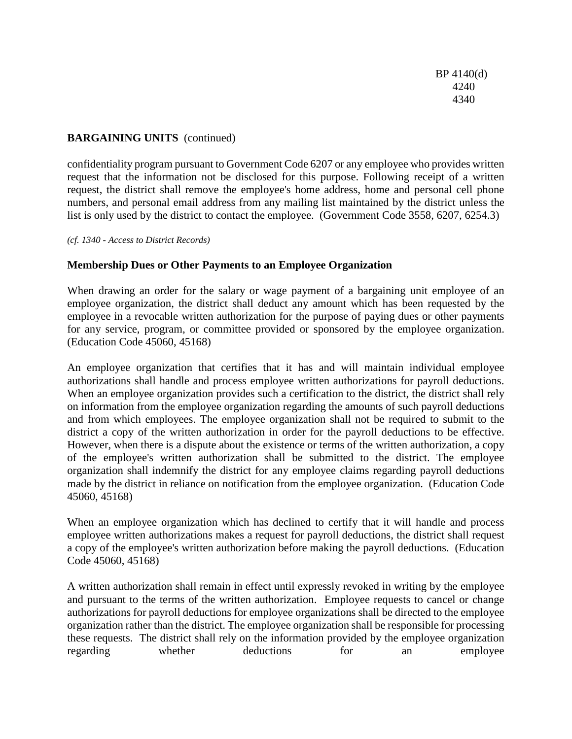BP 4140(d) 4240 4340

# **BARGAINING UNITS** (continued)

confidentiality program pursuant to Government Code 6207 or any employee who provides written request that the information not be disclosed for this purpose. Following receipt of a written request, the district shall remove the employee's home address, home and personal cell phone numbers, and personal email address from any mailing list maintained by the district unless the list is only used by the district to contact the employee. (Government Code 3558, 6207, 6254.3)

*(cf. 1340 - Access to District Records)*

## **Membership Dues or Other Payments to an Employee Organization**

When drawing an order for the salary or wage payment of a bargaining unit employee of an employee organization, the district shall deduct any amount which has been requested by the employee in a revocable written authorization for the purpose of paying dues or other payments for any service, program, or committee provided or sponsored by the employee organization. (Education Code 45060, 45168)

An employee organization that certifies that it has and will maintain individual employee authorizations shall handle and process employee written authorizations for payroll deductions. When an employee organization provides such a certification to the district, the district shall rely on information from the employee organization regarding the amounts of such payroll deductions and from which employees. The employee organization shall not be required to submit to the district a copy of the written authorization in order for the payroll deductions to be effective. However, when there is a dispute about the existence or terms of the written authorization, a copy of the employee's written authorization shall be submitted to the district. The employee organization shall indemnify the district for any employee claims regarding payroll deductions made by the district in reliance on notification from the employee organization. (Education Code 45060, 45168)

When an employee organization which has declined to certify that it will handle and process employee written authorizations makes a request for payroll deductions, the district shall request a copy of the employee's written authorization before making the payroll deductions. (Education Code 45060, 45168)

A written authorization shall remain in effect until expressly revoked in writing by the employee and pursuant to the terms of the written authorization. Employee requests to cancel or change authorizations for payroll deductions for employee organizations shall be directed to the employee organization rather than the district. The employee organization shall be responsible for processing these requests. The district shall rely on the information provided by the employee organization regarding whether deductions for an employee